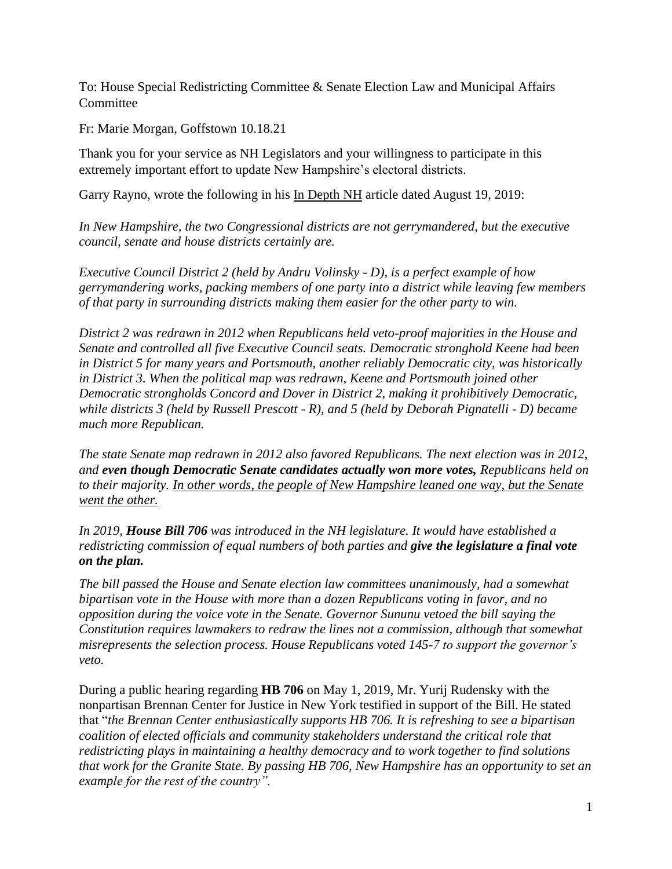To: House Special Redistricting Committee & Senate Election Law and Municipal Affairs **Committee** 

Fr: Marie Morgan, Goffstown 10.18.21

Thank you for your service as NH Legislators and your willingness to participate in this extremely important effort to update New Hampshire's electoral districts.

Garry Rayno, wrote the following in his In Depth NH article dated August 19, 2019:

*In New Hampshire, the two Congressional districts are not gerrymandered, but the executive council, senate and house districts certainly are.*

*Executive Council District 2 (held by Andru Volinsky - D), is a perfect example of how gerrymandering works, packing members of one party into a district while leaving few members of that party in surrounding districts making them easier for the other party to win.* 

*District 2 was redrawn in 2012 when Republicans held veto-proof majorities in the House and Senate and controlled all five Executive Council seats. Democratic stronghold Keene had been in District 5 for many years and Portsmouth, another reliably Democratic city, was historically in District 3. When the political map was redrawn, Keene and Portsmouth joined other Democratic strongholds Concord and Dover in District 2, making it prohibitively Democratic, while districts 3 (held by Russell Prescott - R), and 5 (held by Deborah Pignatelli - D) became much more Republican.*

*The state Senate map redrawn in 2012 also favored Republicans. The next election was in 2012, and even though Democratic Senate candidates actually won more votes, Republicans held on to their majority. In other words, the people of New Hampshire leaned one way, but the Senate went the other.*

*In 2019, House Bill 706 was introduced in the NH legislature. It would have established a redistricting commission of equal numbers of both parties and give the legislature a final vote on the plan.*

*The bill passed the House and Senate election law committees unanimously, had a somewhat bipartisan vote in the House with more than a dozen Republicans voting in favor, and no opposition during the voice vote in the Senate. Governor Sununu vetoed the bill saying the Constitution requires lawmakers to redraw the lines not a commission, although that somewhat misrepresents the selection process. House Republicans voted 145-7 to support the governor's veto.* 

During a public hearing regarding **HB 706** on May 1, 2019, Mr. Yurij Rudensky with the nonpartisan Brennan Center for Justice in New York testified in support of the Bill. He stated that "*the Brennan Center enthusiastically supports HB 706. It is refreshing to see a bipartisan coalition of elected officials and community stakeholders understand the critical role that redistricting plays in maintaining a healthy democracy and to work together to find solutions that work for the Granite State. By passing HB 706, New Hampshire has an opportunity to set an example for the rest of the country".*